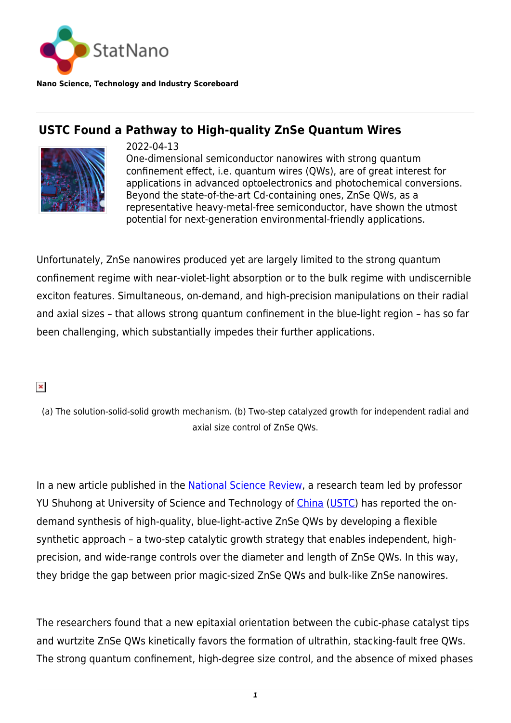

**Nano Science, Technology and Industry Scoreboard**

## **USTC Found a Pathway to High-quality ZnSe Quantum Wires**



2022-04-13 One-dimensional semiconductor nanowires with strong quantum confinement effect, i.e. quantum wires (QWs), are of great interest for applications in advanced optoelectronics and photochemical conversions. Beyond the state-of-the-art Cd-containing ones, ZnSe QWs, as a representative heavy-metal-free semiconductor, have shown the utmost potential for next-generation environmental-friendly applications.

Unfortunately, ZnSe nanowires produced yet are largely limited to the strong quantum confinement regime with near-violet-light absorption or to the bulk regime with undiscernible exciton features. Simultaneous, on-demand, and high-precision manipulations on their radial and axial sizes – that allows strong quantum confinement in the blue-light region – has so far been challenging, which substantially impedes their further applications.

 $\pmb{\times}$ 

(a) The solution-solid-solid growth mechanism. (b) Two-step catalyzed growth for independent radial and axial size control of ZnSe QWs.

In a new article published in the [National Science Review](http://dx.doi.org/10.1093/nsr/nwac025), a research team led by professor YU Shuhong at University of Science and Technology of [China](http://statnano.com/country/China) ([USTC](https://statnano.com/org/University-of-Science-and-Technology-of-China)) has reported the ondemand synthesis of high-quality, blue-light-active ZnSe QWs by developing a flexible synthetic approach – a two-step catalytic growth strategy that enables independent, highprecision, and wide-range controls over the diameter and length of ZnSe QWs. In this way, they bridge the gap between prior magic-sized ZnSe QWs and bulk-like ZnSe nanowires.

The researchers found that a new epitaxial orientation between the cubic-phase catalyst tips and wurtzite ZnSe QWs kinetically favors the formation of ultrathin, stacking-fault free QWs. The strong quantum confinement, high-degree size control, and the absence of mixed phases